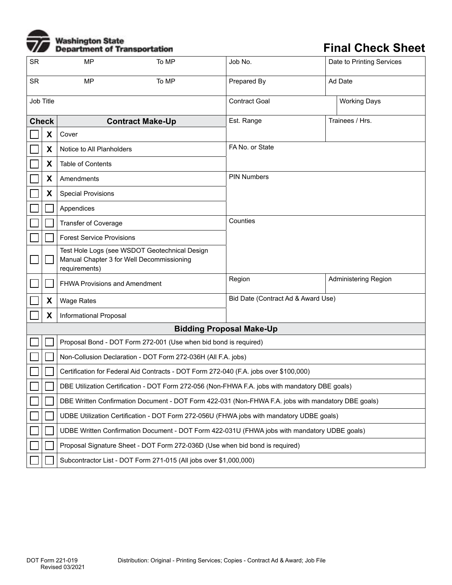## **Washington State<br>Department of Transportation**

## **Final Check Sheet**

| <b>SR</b> |              | <b>MP</b>                                                                                                   | To MP                   | Job No.                                     | Date to Printing Services   |  |  |  |  |  |  |
|-----------|--------------|-------------------------------------------------------------------------------------------------------------|-------------------------|---------------------------------------------|-----------------------------|--|--|--|--|--|--|
| <b>SR</b> |              | <b>MP</b><br>To MP                                                                                          |                         | Prepared By                                 | Ad Date                     |  |  |  |  |  |  |
|           | Job Title    |                                                                                                             |                         | <b>Contract Goal</b><br><b>Working Days</b> |                             |  |  |  |  |  |  |
|           | <b>Check</b> |                                                                                                             | <b>Contract Make-Up</b> | Est. Range                                  | Trainees / Hrs.             |  |  |  |  |  |  |
|           | X            | Cover                                                                                                       |                         |                                             |                             |  |  |  |  |  |  |
|           | X            | Notice to All Planholders                                                                                   |                         | FA No. or State                             |                             |  |  |  |  |  |  |
|           | X            | Table of Contents                                                                                           |                         |                                             |                             |  |  |  |  |  |  |
|           | X            | Amendments                                                                                                  |                         | <b>PIN Numbers</b>                          |                             |  |  |  |  |  |  |
|           | X            | <b>Special Provisions</b>                                                                                   |                         |                                             |                             |  |  |  |  |  |  |
|           |              | Appendices                                                                                                  |                         |                                             |                             |  |  |  |  |  |  |
|           |              | <b>Transfer of Coverage</b>                                                                                 |                         | Counties                                    |                             |  |  |  |  |  |  |
|           |              | <b>Forest Service Provisions</b>                                                                            |                         |                                             |                             |  |  |  |  |  |  |
|           |              | Test Hole Logs (see WSDOT Geotechnical Design<br>Manual Chapter 3 for Well Decommissioning<br>requirements) |                         |                                             |                             |  |  |  |  |  |  |
|           |              | <b>FHWA Provisions and Amendment</b>                                                                        |                         | Region                                      | <b>Administering Region</b> |  |  |  |  |  |  |
|           | X            | <b>Wage Rates</b>                                                                                           |                         | Bid Date (Contract Ad & Award Use)          |                             |  |  |  |  |  |  |
|           | X            | Informational Proposal                                                                                      |                         |                                             |                             |  |  |  |  |  |  |
|           |              |                                                                                                             |                         | <b>Bidding Proposal Make-Up</b>             |                             |  |  |  |  |  |  |
|           |              | Proposal Bond - DOT Form 272-001 (Use when bid bond is required)                                            |                         |                                             |                             |  |  |  |  |  |  |
|           |              | Non-Collusion Declaration - DOT Form 272-036H (All F.A. jobs)                                               |                         |                                             |                             |  |  |  |  |  |  |
|           |              | Certification for Federal Aid Contracts - DOT Form 272-040 (F.A. jobs over \$100,000)                       |                         |                                             |                             |  |  |  |  |  |  |
|           |              | DBE Utilization Certification - DOT Form 272-056 (Non-FHWA F.A. jobs with mandatory DBE goals)              |                         |                                             |                             |  |  |  |  |  |  |
|           |              | DBE Written Confirmation Document - DOT Form 422-031 (Non-FHWA F.A. jobs with mandatory DBE goals)          |                         |                                             |                             |  |  |  |  |  |  |
|           |              | UDBE Utilization Certification - DOT Form 272-056U (FHWA jobs with mandatory UDBE goals)                    |                         |                                             |                             |  |  |  |  |  |  |
|           |              | UDBE Written Confirmation Document - DOT Form 422-031U (FHWA jobs with mandatory UDBE goals)                |                         |                                             |                             |  |  |  |  |  |  |
|           |              | Proposal Signature Sheet - DOT Form 272-036D (Use when bid bond is required)                                |                         |                                             |                             |  |  |  |  |  |  |
|           |              | Subcontractor List - DOT Form 271-015 (All jobs over \$1,000,000)                                           |                         |                                             |                             |  |  |  |  |  |  |